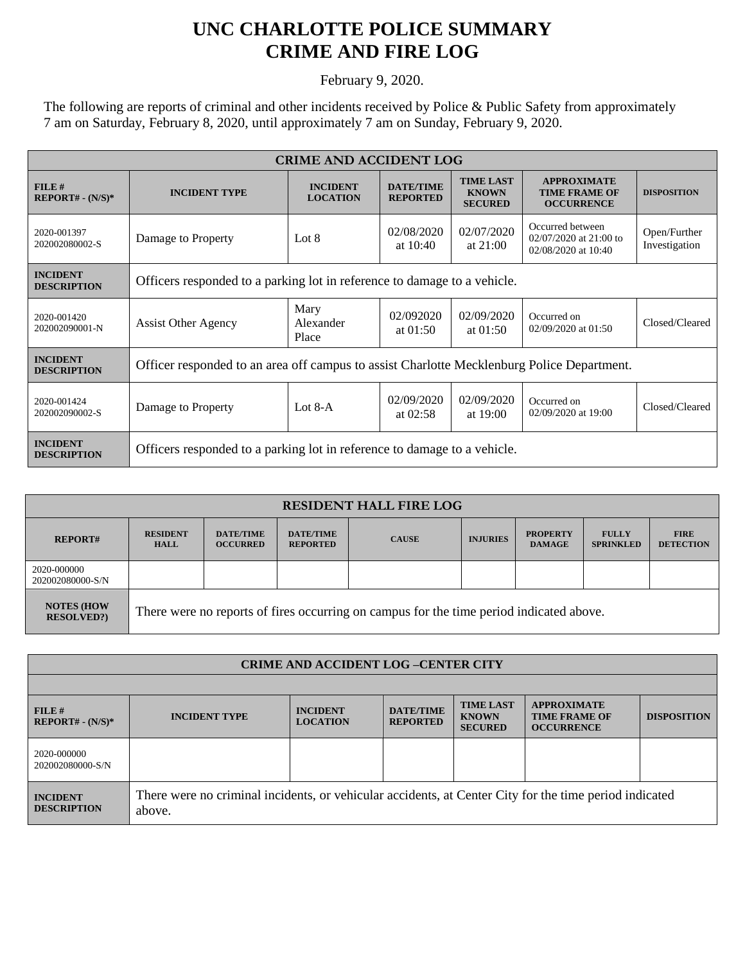## **UNC CHARLOTTE POLICE SUMMARY CRIME AND FIRE LOG**

February 9, 2020.

The following are reports of criminal and other incidents received by Police & Public Safety from approximately 7 am on Saturday, February 8, 2020, until approximately 7 am on Sunday, February 9, 2020.

| <b>CRIME AND ACCIDENT LOG</b>         |                                                                                            |                                    |                                     |                                                    |                                                                   |                               |  |  |
|---------------------------------------|--------------------------------------------------------------------------------------------|------------------------------------|-------------------------------------|----------------------------------------------------|-------------------------------------------------------------------|-------------------------------|--|--|
| FILE#<br>$REPORT# - (N/S)*$           | <b>INCIDENT TYPE</b>                                                                       | <b>INCIDENT</b><br><b>LOCATION</b> | <b>DATE/TIME</b><br><b>REPORTED</b> | <b>TIME LAST</b><br><b>KNOWN</b><br><b>SECURED</b> | <b>APPROXIMATE</b><br><b>TIME FRAME OF</b><br><b>OCCURRENCE</b>   | <b>DISPOSITION</b>            |  |  |
| 2020-001397<br>202002080002-S         | Damage to Property                                                                         | Lot $8$                            | 02/08/2020<br>at $10:40$            | 02/07/2020<br>at $21:00$                           | Occurred between<br>02/07/2020 at 21:00 to<br>02/08/2020 at 10:40 | Open/Further<br>Investigation |  |  |
| <b>INCIDENT</b><br><b>DESCRIPTION</b> | Officers responded to a parking lot in reference to damage to a vehicle.                   |                                    |                                     |                                                    |                                                                   |                               |  |  |
| 2020-001420<br>202002090001-N         | <b>Assist Other Agency</b>                                                                 | Mary<br>Alexander<br>Place         | 02/092020<br>at $01:50$             | 02/09/2020<br>at $01:50$                           | Occurred on<br>02/09/2020 at 01:50                                | Closed/Cleared                |  |  |
| <b>INCIDENT</b><br><b>DESCRIPTION</b> | Officer responded to an area off campus to assist Charlotte Mecklenburg Police Department. |                                    |                                     |                                                    |                                                                   |                               |  |  |
| 2020-001424<br>202002090002-S         | Damage to Property                                                                         | Lot $8-A$                          | 02/09/2020<br>at $02:58$            | 02/09/2020<br>at $19:00$                           | Occurred on<br>02/09/2020 at 19:00                                | Closed/Cleared                |  |  |
| <b>INCIDENT</b><br><b>DESCRIPTION</b> | Officers responded to a parking lot in reference to damage to a vehicle.                   |                                    |                                     |                                                    |                                                                   |                               |  |  |

| <b>RESIDENT HALL FIRE LOG</b>         |                                                                                         |                                     |                                     |              |                 |                                  |                                  |                                 |  |
|---------------------------------------|-----------------------------------------------------------------------------------------|-------------------------------------|-------------------------------------|--------------|-----------------|----------------------------------|----------------------------------|---------------------------------|--|
| <b>REPORT#</b>                        | <b>RESIDENT</b><br><b>HALL</b>                                                          | <b>DATE/TIME</b><br><b>OCCURRED</b> | <b>DATE/TIME</b><br><b>REPORTED</b> | <b>CAUSE</b> | <b>INJURIES</b> | <b>PROPERTY</b><br><b>DAMAGE</b> | <b>FULLY</b><br><b>SPRINKLED</b> | <b>FIRE</b><br><b>DETECTION</b> |  |
| 2020-000000<br>202002080000-S/N       |                                                                                         |                                     |                                     |              |                 |                                  |                                  |                                 |  |
| <b>NOTES (HOW</b><br><b>RESOLVED?</b> | There were no reports of fires occurring on campus for the time period indicated above. |                                     |                                     |              |                 |                                  |                                  |                                 |  |

| <b>CRIME AND ACCIDENT LOG-CENTER CITY</b> |                                                                                                                  |                                    |                                     |                                                    |                                                                 |                    |  |  |
|-------------------------------------------|------------------------------------------------------------------------------------------------------------------|------------------------------------|-------------------------------------|----------------------------------------------------|-----------------------------------------------------------------|--------------------|--|--|
|                                           |                                                                                                                  |                                    |                                     |                                                    |                                                                 |                    |  |  |
| FILE#<br>$REPORT# - (N/S)*$               | <b>INCIDENT TYPE</b>                                                                                             | <b>INCIDENT</b><br><b>LOCATION</b> | <b>DATE/TIME</b><br><b>REPORTED</b> | <b>TIME LAST</b><br><b>KNOWN</b><br><b>SECURED</b> | <b>APPROXIMATE</b><br><b>TIME FRAME OF</b><br><b>OCCURRENCE</b> | <b>DISPOSITION</b> |  |  |
| 2020-000000<br>202002080000-S/N           |                                                                                                                  |                                    |                                     |                                                    |                                                                 |                    |  |  |
| <b>INCIDENT</b><br><b>DESCRIPTION</b>     | There were no criminal incidents, or vehicular accidents, at Center City for the time period indicated<br>above. |                                    |                                     |                                                    |                                                                 |                    |  |  |